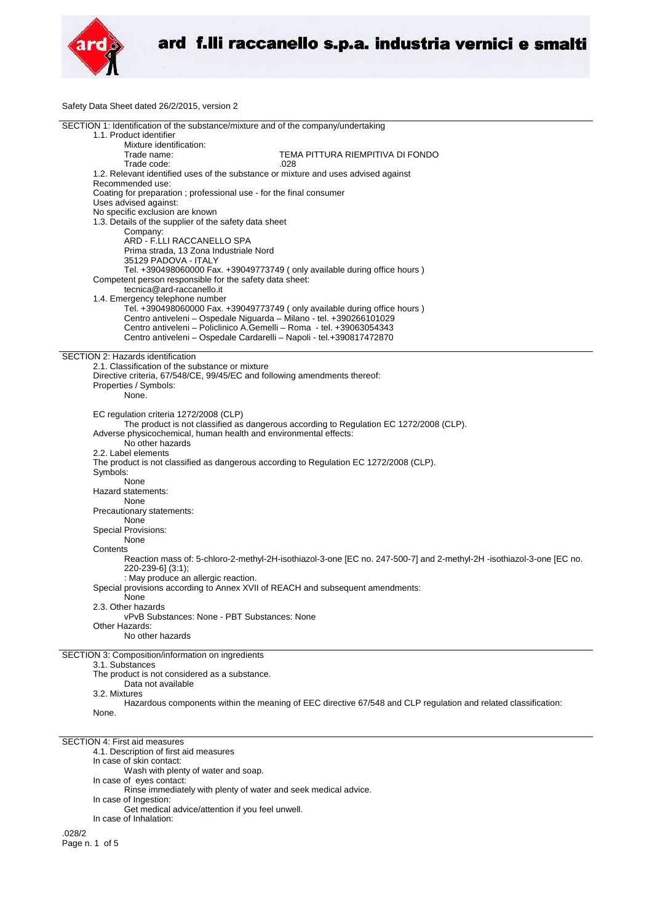

Safety Data Sheet dated 26/2/2015, version 2

| SECTION 1: Identification of the substance/mixture and of the company/undertaking                                                           |
|---------------------------------------------------------------------------------------------------------------------------------------------|
| 1.1. Product identifier                                                                                                                     |
| Mixture identification:                                                                                                                     |
| TEMA PITTURA RIEMPITIVA DI FONDO<br>Trade name:                                                                                             |
| Trade code:<br>.028                                                                                                                         |
| 1.2. Relevant identified uses of the substance or mixture and uses advised against                                                          |
| Recommended use:                                                                                                                            |
| Coating for preparation; professional use - for the final consumer                                                                          |
| Uses advised against:                                                                                                                       |
| No specific exclusion are known                                                                                                             |
| 1.3. Details of the supplier of the safety data sheet                                                                                       |
| Company:                                                                                                                                    |
| ARD - F.LLI RACCANELLO SPA                                                                                                                  |
| Prima strada, 13 Zona Industriale Nord                                                                                                      |
| 35129 PADOVA - ITALY                                                                                                                        |
| Tel. +390498060000 Fax. +39049773749 (only available during office hours)                                                                   |
| Competent person responsible for the safety data sheet:                                                                                     |
| tecnica@ard-raccanello.it                                                                                                                   |
| 1.4. Emergency telephone number                                                                                                             |
| Tel. +390498060000 Fax. +39049773749 (only available during office hours)                                                                   |
| Centro antiveleni - Ospedale Niguarda - Milano - tel. +390266101029<br>Centro antiveleni – Policlinico A.Gemelli – Roma - tel. +39063054343 |
|                                                                                                                                             |
| Centro antiveleni - Ospedale Cardarelli - Napoli - tel.+390817472870                                                                        |
| SECTION 2: Hazards identification                                                                                                           |
| 2.1. Classification of the substance or mixture                                                                                             |
| Directive criteria, 67/548/CE, 99/45/EC and following amendments thereof:                                                                   |
| Properties / Symbols:                                                                                                                       |
| None.                                                                                                                                       |
|                                                                                                                                             |
| EC regulation criteria 1272/2008 (CLP)                                                                                                      |
| The product is not classified as dangerous according to Regulation EC 1272/2008 (CLP).                                                      |
| Adverse physicochemical, human health and environmental effects:                                                                            |
| No other hazards                                                                                                                            |
| 2.2. Label elements                                                                                                                         |
| The product is not classified as dangerous according to Regulation EC 1272/2008 (CLP).                                                      |
| Symbols:                                                                                                                                    |
| None                                                                                                                                        |
| Hazard statements:                                                                                                                          |
| None                                                                                                                                        |
| Precautionary statements:                                                                                                                   |
| None                                                                                                                                        |
| <b>Special Provisions:</b>                                                                                                                  |
| None                                                                                                                                        |
| Contents                                                                                                                                    |
| Reaction mass of: 5-chloro-2-methyl-2H-isothiazol-3-one [EC no. 247-500-7] and 2-methyl-2H -isothiazol-3-one [EC no.                        |
| 220-239-6] (3:1);                                                                                                                           |
| : May produce an allergic reaction.                                                                                                         |
| Special provisions according to Annex XVII of REACH and subsequent amendments:                                                              |
| None                                                                                                                                        |
| 2.3. Other hazards                                                                                                                          |
| vPvB Substances: None - PBT Substances: None                                                                                                |
| Other Hazards:                                                                                                                              |
| No other hazards                                                                                                                            |
|                                                                                                                                             |
| SECTION 3: Composition/information on ingredients                                                                                           |
| 3.1. Substances                                                                                                                             |
| The product is not considered as a substance.                                                                                               |
| Data not available                                                                                                                          |
| 3.2. Mixtures                                                                                                                               |
| Hazardous components within the meaning of EEC directive 67/548 and CLP regulation and related classification:<br>None.                     |
|                                                                                                                                             |
|                                                                                                                                             |
| SECTION 4: First aid measures                                                                                                               |
| 4.1. Description of first aid measures                                                                                                      |
| In case of skin contact:                                                                                                                    |
| Wash with plenty of water and soap.                                                                                                         |
| In case of eyes contact:                                                                                                                    |
| Rinse immediately with plenty of water and seek medical advice.                                                                             |
| In case of Ingestion:                                                                                                                       |
| Get medical advice/attention if you feel unwell.                                                                                            |
| In case of Inhalation:                                                                                                                      |
|                                                                                                                                             |

.028/2 Page n. 1 of 5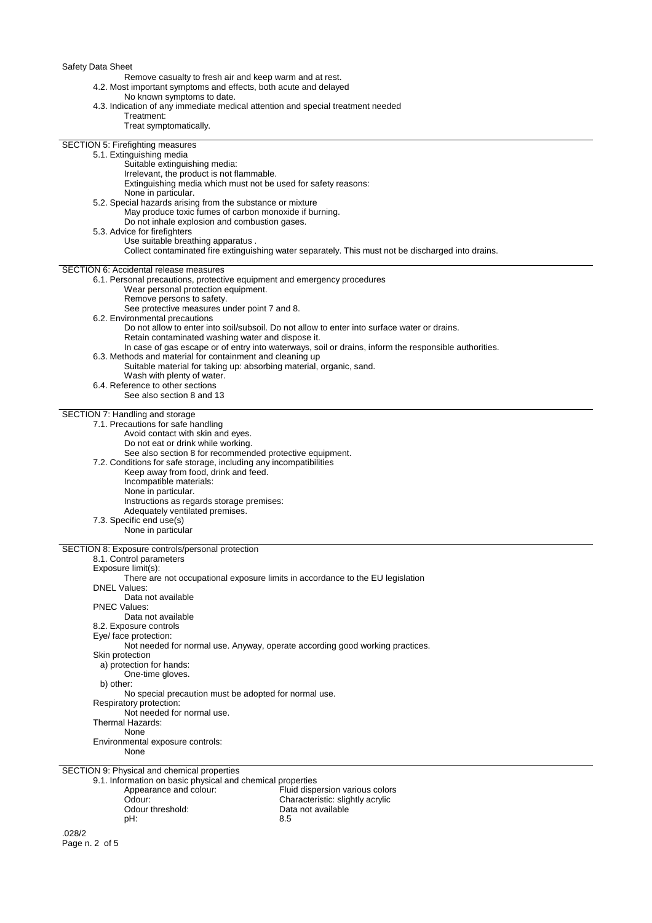Safety Data Sheet

Remove casualty to fresh air and keep warm and at rest.

4.2. Most important symptoms and effects, both acute and delayed

No known symptoms to date.

| 4.3. Indication of any immediate medical attention and special treatment needed                           |                                                                                                       |
|-----------------------------------------------------------------------------------------------------------|-------------------------------------------------------------------------------------------------------|
| Treatment:                                                                                                |                                                                                                       |
| Treat symptomatically.                                                                                    |                                                                                                       |
| SECTION 5: Firefighting measures                                                                          |                                                                                                       |
| 5.1. Extinguishing media                                                                                  |                                                                                                       |
| Suitable extinguishing media:                                                                             |                                                                                                       |
| Irrelevant, the product is not flammable.                                                                 |                                                                                                       |
| Extinguishing media which must not be used for safety reasons:                                            |                                                                                                       |
| None in particular.                                                                                       |                                                                                                       |
| 5.2. Special hazards arising from the substance or mixture                                                |                                                                                                       |
| May produce toxic fumes of carbon monoxide if burning.                                                    |                                                                                                       |
| Do not inhale explosion and combustion gases.                                                             |                                                                                                       |
| 5.3. Advice for firefighters<br>Use suitable breathing apparatus.                                         |                                                                                                       |
|                                                                                                           | Collect contaminated fire extinguishing water separately. This must not be discharged into drains.    |
|                                                                                                           |                                                                                                       |
| SECTION 6: Accidental release measures                                                                    |                                                                                                       |
| 6.1. Personal precautions, protective equipment and emergency procedures                                  |                                                                                                       |
| Wear personal protection equipment.                                                                       |                                                                                                       |
| Remove persons to safety.                                                                                 |                                                                                                       |
| See protective measures under point 7 and 8.                                                              |                                                                                                       |
| 6.2. Environmental precautions                                                                            |                                                                                                       |
|                                                                                                           | Do not allow to enter into soil/subsoil. Do not allow to enter into surface water or drains.          |
| Retain contaminated washing water and dispose it.                                                         | In case of gas escape or of entry into waterways, soil or drains, inform the responsible authorities. |
| 6.3. Methods and material for containment and cleaning up                                                 |                                                                                                       |
| Suitable material for taking up: absorbing material, organic, sand.                                       |                                                                                                       |
| Wash with plenty of water.                                                                                |                                                                                                       |
| 6.4. Reference to other sections                                                                          |                                                                                                       |
| See also section 8 and 13                                                                                 |                                                                                                       |
|                                                                                                           |                                                                                                       |
| SECTION 7: Handling and storage                                                                           |                                                                                                       |
| 7.1. Precautions for safe handling                                                                        |                                                                                                       |
| Avoid contact with skin and eyes.                                                                         |                                                                                                       |
| Do not eat or drink while working.<br>See also section 8 for recommended protective equipment.            |                                                                                                       |
| 7.2. Conditions for safe storage, including any incompatibilities                                         |                                                                                                       |
| Keep away from food, drink and feed.                                                                      |                                                                                                       |
| Incompatible materials:                                                                                   |                                                                                                       |
| None in particular.                                                                                       |                                                                                                       |
| Instructions as regards storage premises:                                                                 |                                                                                                       |
| Adequately ventilated premises.                                                                           |                                                                                                       |
| 7.3. Specific end use(s)                                                                                  |                                                                                                       |
| None in particular                                                                                        |                                                                                                       |
|                                                                                                           |                                                                                                       |
| SECTION 8: Exposure controls/personal protection                                                          |                                                                                                       |
| 8.1. Control parameters<br>Exposure limit(s):                                                             |                                                                                                       |
| There are not occupational exposure limits in accordance to the EU legislation                            |                                                                                                       |
| <b>DNEL Values:</b>                                                                                       |                                                                                                       |
| Data not available                                                                                        |                                                                                                       |
| <b>PNEC Values:</b>                                                                                       |                                                                                                       |
| Data not available                                                                                        |                                                                                                       |
| 8.2. Exposure controls                                                                                    |                                                                                                       |
| Eye/ face protection:                                                                                     |                                                                                                       |
| Not needed for normal use. Anyway, operate according good working practices.                              |                                                                                                       |
| Skin protection                                                                                           |                                                                                                       |
| a) protection for hands:<br>One-time gloves.                                                              |                                                                                                       |
| b) other:                                                                                                 |                                                                                                       |
| No special precaution must be adopted for normal use.                                                     |                                                                                                       |
| Respiratory protection:                                                                                   |                                                                                                       |
| Not needed for normal use.                                                                                |                                                                                                       |
| Thermal Hazards:                                                                                          |                                                                                                       |
| None                                                                                                      |                                                                                                       |
| Environmental exposure controls:                                                                          |                                                                                                       |
| None                                                                                                      |                                                                                                       |
|                                                                                                           |                                                                                                       |
| SECTION 9: Physical and chemical properties<br>9.1. Information on basic physical and chemical properties |                                                                                                       |
| Appearance and colour:                                                                                    | Fluid dispersion various colors                                                                       |
| Odour:                                                                                                    | Characteristic: slightly acrylic                                                                      |
| Odour threshold:                                                                                          | Data not available                                                                                    |
| pH:                                                                                                       | 8.5                                                                                                   |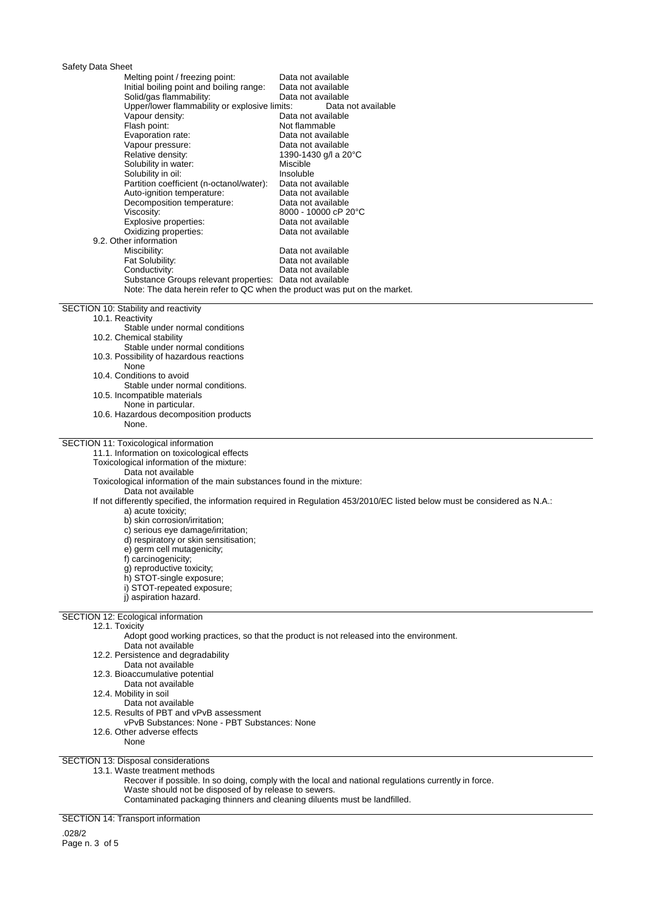## Safety Data Sheet

| Udiciy Dala Uncci                                     |                                                                                                                           |
|-------------------------------------------------------|---------------------------------------------------------------------------------------------------------------------------|
| Melting point / freezing point:                       | Data not available                                                                                                        |
| Initial boiling point and boiling range:              | Data not available                                                                                                        |
| Solid/gas flammability:                               | Data not available                                                                                                        |
| Upper/lower flammability or explosive limits:         | Data not available                                                                                                        |
| Vapour density:                                       | Data not available                                                                                                        |
| Flash point:                                          | Not flammable                                                                                                             |
| Evaporation rate:                                     | Data not available                                                                                                        |
| Vapour pressure:                                      | Data not available                                                                                                        |
| Relative density:                                     | 1390-1430 g/l a 20°C                                                                                                      |
| Solubility in water:                                  | Miscible                                                                                                                  |
| Solubility in oil:                                    | Insoluble                                                                                                                 |
| Partition coefficient (n-octanol/water):              | Data not available                                                                                                        |
| Auto-ignition temperature:                            | Data not available                                                                                                        |
| Decomposition temperature:                            | Data not available                                                                                                        |
| Viscosity:                                            | 8000 - 10000 cP 20°C                                                                                                      |
| Explosive properties:                                 | Data not available                                                                                                        |
| Oxidizing properties:                                 | Data not available                                                                                                        |
| 9.2. Other information                                |                                                                                                                           |
| Miscibility:<br>Fat Solubility:                       | Data not available<br>Data not available                                                                                  |
| Conductivity:                                         | Data not available                                                                                                        |
|                                                       | Substance Groups relevant properties: Data not available                                                                  |
|                                                       | Note: The data herein refer to QC when the product was put on the market.                                                 |
|                                                       |                                                                                                                           |
| SECTION 10: Stability and reactivity                  |                                                                                                                           |
| 10.1. Reactivity                                      |                                                                                                                           |
| Stable under normal conditions                        |                                                                                                                           |
| 10.2. Chemical stability                              |                                                                                                                           |
| Stable under normal conditions                        |                                                                                                                           |
| 10.3. Possibility of hazardous reactions              |                                                                                                                           |
| None                                                  |                                                                                                                           |
| 10.4. Conditions to avoid                             |                                                                                                                           |
| Stable under normal conditions.                       |                                                                                                                           |
| 10.5. Incompatible materials                          |                                                                                                                           |
| None in particular.                                   |                                                                                                                           |
| 10.6. Hazardous decomposition products<br>None.       |                                                                                                                           |
|                                                       |                                                                                                                           |
| SECTION 11: Toxicological information                 |                                                                                                                           |
| 11.1. Information on toxicological effects            |                                                                                                                           |
| Toxicological information of the mixture:             |                                                                                                                           |
| Data not available                                    |                                                                                                                           |
|                                                       | Toxicological information of the main substances found in the mixture:                                                    |
| Data not available                                    |                                                                                                                           |
|                                                       | If not differently specified, the information required in Regulation 453/2010/EC listed below must be considered as N.A.: |
| a) acute toxicity;                                    |                                                                                                                           |
| b) skin corrosion/irritation;                         |                                                                                                                           |
| c) serious eye damage/irritation;                     |                                                                                                                           |
| d) respiratory or skin sensitisation;                 |                                                                                                                           |
| e) germ cell mutagenicity;                            |                                                                                                                           |
| f) carcinogenicity;                                   |                                                                                                                           |
| g) reproductive toxicity;                             |                                                                                                                           |
| h) STOT-single exposure;                              |                                                                                                                           |
| i) STOT-repeated exposure;                            |                                                                                                                           |
| j) aspiration hazard.                                 |                                                                                                                           |
| <b>SECTION 12: Ecological information</b>             |                                                                                                                           |
| 12.1. Toxicity                                        |                                                                                                                           |
|                                                       | Adopt good working practices, so that the product is not released into the environment.                                   |
| Data not available                                    |                                                                                                                           |
| 12.2. Persistence and degradability                   |                                                                                                                           |
| Data not available                                    |                                                                                                                           |
| 12.3. Bioaccumulative potential                       |                                                                                                                           |
| Data not available                                    |                                                                                                                           |
| 12.4. Mobility in soil                                |                                                                                                                           |
| Data not available                                    |                                                                                                                           |
| 12.5. Results of PBT and vPvB assessment              |                                                                                                                           |
| vPvB Substances: None - PBT Substances: None          |                                                                                                                           |
| 12.6. Other adverse effects                           |                                                                                                                           |
| None                                                  |                                                                                                                           |
| SECTION 13: Disposal considerations                   |                                                                                                                           |
| 13.1. Waste treatment methods                         |                                                                                                                           |
|                                                       | Recover if possible. In so doing, comply with the local and national regulations currently in force.                      |
| Waste should not be disposed of by release to sewers. |                                                                                                                           |
|                                                       |                                                                                                                           |
|                                                       | Contaminated packaging thinners and cleaning diluents must be landfilled.                                                 |

SECTION 14: Transport information

.028/2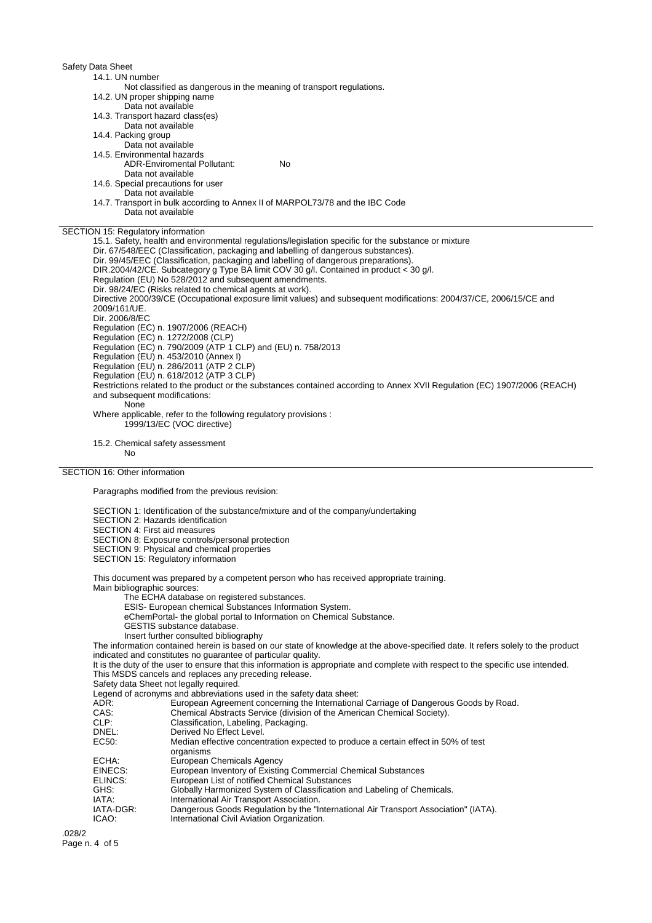Safety Data Sheet 14.1. UN number Not classified as dangerous in the meaning of transport regulations. 14.2. UN proper shipping name Data not available 14.3. Transport hazard class(es) Data not available 14.4. Packing group Data not available 14.5. Environmental hazards ADR-Enviromental Pollutant: No Data not available 14.6. Special precautions for user Data not available 14.7. Transport in bulk according to Annex II of MARPOL73/78 and the IBC Code Data not available SECTION 15: Regulatory information 15.1. Safety, health and environmental regulations/legislation specific for the substance or mixture Dir. 67/548/EEC (Classification, packaging and labelling of dangerous substances). Dir. 99/45/EEC (Classification, packaging and labelling of dangerous preparations). DIR.2004/42/CE. Subcategory g Type BA limit COV 30 g/l. Contained in product < 30 g/l. Regulation (EU) No 528/2012 and subsequent amendments. Dir. 98/24/EC (Risks related to chemical agents at work). Directive 2000/39/CE (Occupational exposure limit values) and subsequent modifications: 2004/37/CE, 2006/15/CE and 2009/161/UE. Dir. 2006/8/EC Regulation (EC) n. 1907/2006 (REACH) Regulation (EC) n. 1272/2008 (CLP) Regulation (EC) n. 790/2009 (ATP 1 CLP) and (EU) n. 758/2013 Regulation (EU) n. 453/2010 (Annex I) Regulation (EU) n. 286/2011 (ATP 2 CLP) Regulation (EU) n. 618/2012 (ATP 3 CLP) Restrictions related to the product or the substances contained according to Annex XVII Regulation (EC) 1907/2006 (REACH) and subsequent modifications: **None** Where applicable, refer to the following regulatory provisions : 1999/13/EC (VOC directive) 15.2. Chemical safety assessment

No

## SECTION 16: Other information

Paragraphs modified from the previous revision:

SECTION 1: Identification of the substance/mixture and of the company/undertaking

SECTION 2: Hazards identification

SECTION 4: First aid measures

SECTION 8: Exposure controls/personal protection

SECTION 9: Physical and chemical properties

SECTION 15: Regulatory information

This document was prepared by a competent person who has received appropriate training.

Main bibliographic sources:

The ECHA database on registered substances.

ESIS- European chemical Substances Information System.

eChemPortal- the global portal to Information on Chemical Substance.

GESTIS substance database.

Insert further consulted bibliography

The information contained herein is based on our state of knowledge at the above-specified date. It refers solely to the product indicated and constitutes no guarantee of particular quality.

It is the duty of the user to ensure that this information is appropriate and complete with respect to the specific use intended. This MSDS cancels and replaces any preceding release.

Safety data Sheet not legally required.

Legend of acronyms and abbreviations used in the safety data sheet:

ADR: European Agreement concerning the International Carriage of Dangerous Goods by Road.<br>CAS: European Agreement concerning the International Carriage of Dangerous Goods by Road.

CAS: Chemical Abstracts Service (division of the American Chemical Society).<br>CLP: Classification, Labeling, Packaging.

CLP: Classification, Labeling, Packaging.

DNEL:<br>
EC50: Derived No Effect Level.<br>
Median effective concer Median effective concentration expected to produce a certain effect in 50% of test organisms ECHA: European Chemicals Agency<br>EINECS: European Inventory of Existin European Inventory of Existing Commercial Chemical Substances ELINCS: European List of notified Chemical Substances<br>GHS: Globally Harmonized System of Classification a Globally Harmonized System of Classification and Labeling of Chemicals. IATA: International Air Transport Association.<br>IATA-DGR: Dangerous Goods Regulation by the "Ir IATA-DGR: Dangerous Goods Regulation by the "International Air Transport Association" (IATA).<br>ICAO: International Civil Aviation Organization. International Civil Aviation Organization.

.028/2 Page n. 4 of 5